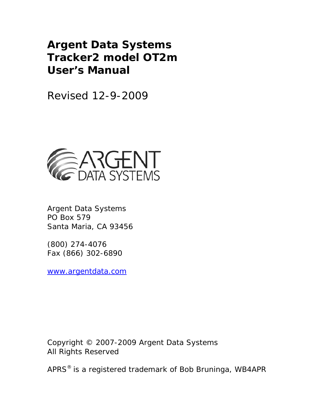# **Argent Data Systems Tracker2 model OT2m User's Manual**

Revised 12-9-2009



Argent Data Systems PO Box 579 Santa Maria, CA 93456

(800) 274-4076 Fax (866) 302-6890

www.argentdata.com

Copyright © 2007-2009 Argent Data Systems All Rights Reserved

APRS® is a registered trademark of Bob Bruninga, WB4APR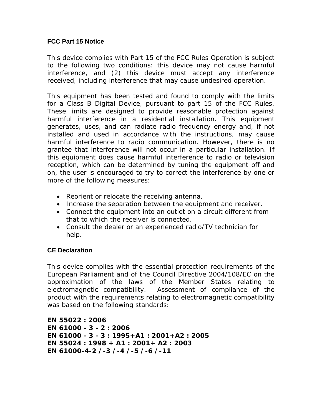## **FCC Part 15 Notice**

This device complies with Part 15 of the FCC Rules Operation is subject to the following two conditions: this device may not cause harmful interference, and (2) this device must accept any interference received, including interference that may cause undesired operation.

This equipment has been tested and found to comply with the limits for a Class B Digital Device, pursuant to part 15 of the FCC Rules. These limits are designed to provide reasonable protection against harmful interference in a residential installation. This equipment generates, uses, and can radiate radio frequency energy and, if not installed and used in accordance with the instructions, may cause harmful interference to radio communication. However, there is no grantee that interference will not occur in a particular installation. If this equipment does cause harmful interference to radio or television reception, which can be determined by tuning the equipment off and on, the user is encouraged to try to correct the interference by one or more of the following measures:

- Reorient or relocate the receiving antenna.
- Increase the separation between the equipment and receiver.
- Connect the equipment into an outlet on a circuit different from that to which the receiver is connected.
- Consult the dealer or an experienced radio/TV technician for help.

## **CE Declaration**

This device complies with the essential protection requirements of the European Parliament and of the Council Directive 2004/108/EC on the approximation of the laws of the Member States relating to electromagnetic compatibility. Assessment of compliance of the product with the requirements relating to electromagnetic compatibility was based on the following standards:

**EN 55022 : 2006 EN 61000 - 3 - 2 : 2006 EN 61000 - 3 - 3 : 1995+A1 : 2001+A2 : 2005 EN 55024 : 1998 + A1 : 2001+ A2 : 2003 EN 61000-4-2 /-3 /-4 /-5 /-6 /-11**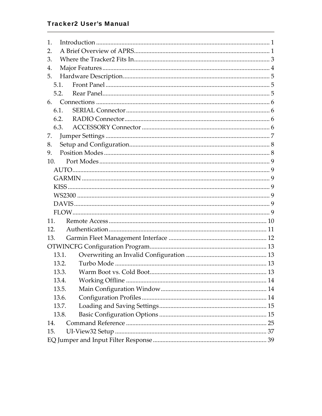## **Tracker2 User's Manual**

| 1.  |       |                                |  |
|-----|-------|--------------------------------|--|
| 2.  |       |                                |  |
| 3.  |       |                                |  |
| 4.  |       |                                |  |
| 5.  |       |                                |  |
|     | 5.1.  |                                |  |
|     | 5.2.  |                                |  |
|     |       |                                |  |
|     | 6.1.  |                                |  |
|     | 6.2.  |                                |  |
|     | 6.3.  |                                |  |
| 7.  |       |                                |  |
| 8.  |       |                                |  |
| 9.  |       |                                |  |
| 10. |       |                                |  |
|     |       |                                |  |
|     |       |                                |  |
|     |       |                                |  |
|     |       |                                |  |
|     |       |                                |  |
|     |       |                                |  |
| 11. |       |                                |  |
| 12. |       |                                |  |
| 13. |       |                                |  |
|     |       |                                |  |
|     | 13.1. |                                |  |
|     | 13.2. |                                |  |
|     | 13.3. | Warm Boot vs. Cold Boot.<br>13 |  |
|     | 13.4. |                                |  |
|     | 13.5. |                                |  |
|     | 13.6. |                                |  |
|     | 13.7. |                                |  |
|     | 13.8. |                                |  |
| 14. |       |                                |  |
| 15. |       |                                |  |
|     |       |                                |  |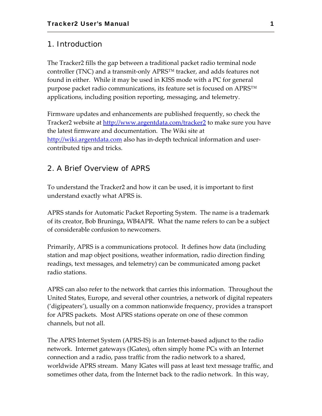## 1. Introduction

The Tracker2 fills the gap between a traditional packet radio terminal node controller (TNC) and a transmit‐only APRS™ tracker, and adds features not found in either. While it may be used in KISS mode with a PC for general purpose packet radio communications, its feature set is focused on APRS™ applications, including position reporting, messaging, and telemetry.

Firmware updates and enhancements are published frequently, so check the Tracker2 website at http://www.argentdata.com/tracker2 to make sure you have the latest firmware and documentation. The Wiki site at http://wiki.argentdata.com also has in-depth technical information and usercontributed tips and tricks.

## 2. A Brief Overview of APRS

To understand the Tracker2 and how it can be used, it is important to first understand exactly what APRS is.

APRS stands for Automatic Packet Reporting System. The name is a trademark of its creator, Bob Bruninga, WB4APR. What the name refers to can be a subject of considerable confusion to newcomers.

Primarily, APRS is a communications protocol. It defines how data (including station and map object positions, weather information, radio direction finding readings, text messages, and telemetry) can be communicated among packet radio stations.

APRS can also refer to the network that carries this information. Throughout the United States, Europe, and several other countries, a network of digital repeaters ('digipeaters'), usually on a common nationwide frequency, provides a transport for APRS packets. Most APRS stations operate on one of these common channels, but not all.

The APRS Internet System (APRS‐IS) is an Internet‐based adjunct to the radio network. Internet gateways (IGates), often simply home PCs with an Internet connection and a radio, pass traffic from the radio network to a shared, worldwide APRS stream. Many IGates will pass at least text message traffic, and sometimes other data, from the Internet back to the radio network. In this way,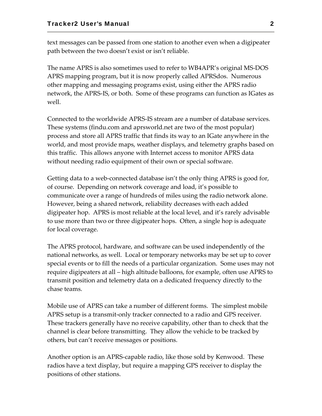text messages can be passed from one station to another even when a digipeater path between the two doesn't exist or isn't reliable.

The name APRS is also sometimes used to refer to WB4APR's original MS‐DOS APRS mapping program, but it is now properly called APRSdos. Numerous other mapping and messaging programs exist, using either the APRS radio network, the APRS‐IS, or both. Some of these programs can function as IGates as well.

Connected to the worldwide APRS‐IS stream are a number of database services. These systems (findu.com and aprsworld.net are two of the most popular) process and store all APRS traffic that finds its way to an IGate anywhere in the world, and most provide maps, weather displays, and telemetry graphs based on this traffic. This allows anyone with Internet access to monitor APRS data without needing radio equipment of their own or special software.

Getting data to a web‐connected database isn't the only thing APRS is good for, of course. Depending on network coverage and load, it's possible to communicate over a range of hundreds of miles using the radio network alone. However, being a shared network, reliability decreases with each added digipeater hop. APRS is most reliable at the local level, and it's rarely advisable to use more than two or three digipeater hops. Often, a single hop is adequate for local coverage.

The APRS protocol, hardware, and software can be used independently of the national networks, as well. Local or temporary networks may be set up to cover special events or to fill the needs of a particular organization. Some uses may not require digipeaters at all – high altitude balloons, for example, often use APRS to transmit position and telemetry data on a dedicated frequency directly to the chase teams.

Mobile use of APRS can take a number of different forms. The simplest mobile APRS setup is a transmit‐only tracker connected to a radio and GPS receiver. These trackers generally have no receive capability, other than to check that the channel is clear before transmitting. They allow the vehicle to be tracked by others, but can't receive messages or positions.

Another option is an APRS‐capable radio, like those sold by Kenwood. These radios have a text display, but require a mapping GPS receiver to display the positions of other stations.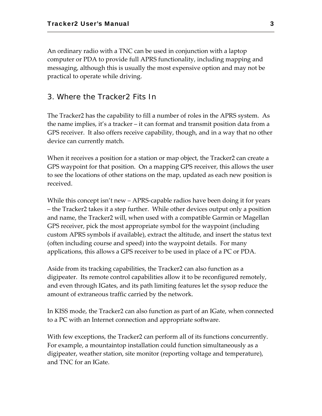An ordinary radio with a TNC can be used in conjunction with a laptop computer or PDA to provide full APRS functionality, including mapping and messaging, although this is usually the most expensive option and may not be practical to operate while driving.

## 3. Where the Tracker2 Fits In

The Tracker2 has the capability to fill a number of roles in the APRS system. As the name implies, it's a tracker – it can format and transmit position data from a GPS receiver. It also offers receive capability, though, and in a way that no other device can currently match.

When it receives a position for a station or map object, the Tracker2 can create a GPS waypoint for that position. On a mapping GPS receiver, this allows the user to see the locations of other stations on the map, updated as each new position is received.

While this concept isn't new – APRS-capable radios have been doing it for years – the Tracker2 takes it a step further. While other devices output only a position and name, the Tracker2 will, when used with a compatible Garmin or Magellan GPS receiver, pick the most appropriate symbol for the waypoint (including custom APRS symbols if available), extract the altitude, and insert the status text (often including course and speed) into the waypoint details. For many applications, this allows a GPS receiver to be used in place of a PC or PDA.

Aside from its tracking capabilities, the Tracker2 can also function as a digipeater. Its remote control capabilities allow it to be reconfigured remotely, and even through IGates, and its path limiting features let the sysop reduce the amount of extraneous traffic carried by the network.

In KISS mode, the Tracker2 can also function as part of an IGate, when connected to a PC with an Internet connection and appropriate software.

With few exceptions, the Tracker2 can perform all of its functions concurrently. For example, a mountaintop installation could function simultaneously as a digipeater, weather station, site monitor (reporting voltage and temperature), and TNC for an IGate.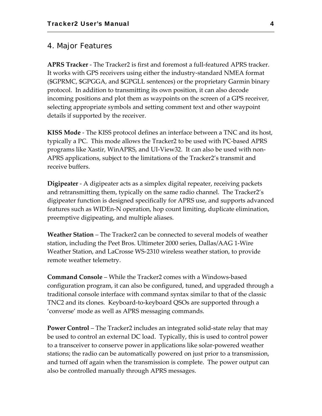## 4. Major Features

**APRS Tracker** ‐ The Tracker2 is first and foremost a full‐featured APRS tracker. It works with GPS receivers using either the industry‐standard NMEA format (\$GPRMC, \$GPGGA, and \$GPGLL sentences) or the proprietary Garmin binary protocol. In addition to transmitting its own position, it can also decode incoming positions and plot them as waypoints on the screen of a GPS receiver, selecting appropriate symbols and setting comment text and other waypoint details if supported by the receiver.

**KISS Mode** ‐ The KISS protocol defines an interface between a TNC and its host, typically a PC. This mode allows the Tracker2 to be used with PC‐based APRS programs like Xastir, WinAPRS, and UI‐View32. It can also be used with non‐ APRS applications, subject to the limitations of the Tracker2's transmit and receive buffers.

**Digipeater** ‐ A digipeater acts as a simplex digital repeater, receiving packets and retransmitting them, typically on the same radio channel. The Tracker2's digipeater function is designed specifically for APRS use, and supports advanced features such as WIDEn‐N operation, hop count limiting, duplicate elimination, preemptive digipeating, and multiple aliases.

**Weather Station** – The Tracker2 can be connected to several models of weather station, including the Peet Bros. Ultimeter 2000 series, Dallas/AAG 1‐Wire Weather Station, and LaCrosse WS‐2310 wireless weather station, to provide remote weather telemetry.

**Command Console** – While the Tracker2 comes with a Windows‐based configuration program, it can also be configured, tuned, and upgraded through a traditional console interface with command syntax similar to that of the classic TNC2 and its clones. Keyboard‐to‐keyboard QSOs are supported through a 'converse' mode as well as APRS messaging commands.

**Power Control** – The Tracker2 includes an integrated solid‐state relay that may be used to control an external DC load. Typically, this is used to control power to a transceiver to conserve power in applications like solar‐powered weather stations; the radio can be automatically powered on just prior to a transmission, and turned off again when the transmission is complete. The power output can also be controlled manually through APRS messages.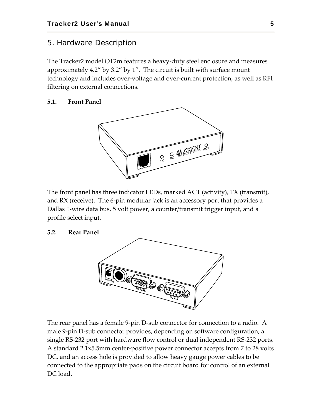## 5. Hardware Description

The Tracker2 model OT2m features a heavy‐duty steel enclosure and measures approximately 4.2" by 3.2" by 1". The circuit is built with surface mount technology and includes over‐voltage and over‐current protection, as well as RFI filtering on external connections.

## **5.1. Front Panel**



The front panel has three indicator LEDs, marked ACT (activity), TX (transmit), and RX (receive). The 6‐pin modular jack is an accessory port that provides a Dallas 1‐wire data bus, 5 volt power, a counter/transmit trigger input, and a profile select input.

#### **5.2. Rear Panel**

![](_page_7_Picture_7.jpeg)

The rear panel has a female 9‐pin D‐sub connector for connection to a radio. A male 9‐pin D‐sub connector provides, depending on software configuration, a single RS‐232 port with hardware flow control or dual independent RS‐232 ports. A standard 2.1x5.5mm center‐positive power connector accepts from 7 to 28 volts DC, and an access hole is provided to allow heavy gauge power cables to be connected to the appropriate pads on the circuit board for control of an external DC load.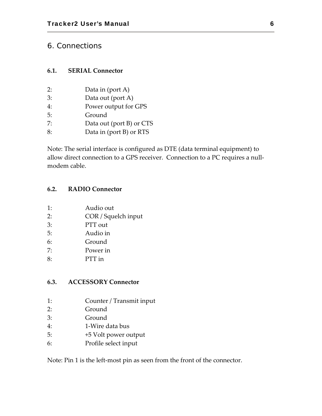## 6. Connections

## **6.1. SERIAL Connector**

- 2: Data in (port A)
- 3: Data out (port A)
- 4: Power output for GPS
- 5: Ground
- 7: Data out (port B) or CTS
- 8: Data in (port B) or RTS

Note: The serial interface is configured as DTE (data terminal equipment) to allow direct connection to a GPS receiver. Connection to a PC requires a null‐ modem cable.

## **6.2. RADIO Connector**

- 2: COR / Squelch input
- 3: PTT out
- 5: Audio in
- 6: Ground
- 7: Power in
- 8: PTT in

#### **6.3. ACCESSORY Connector**

- 1: Counter / Transmit input
- 2: Ground
- 3: Ground
- 4: 1‐Wire data bus
- 5: +5 Volt power output
- 6: Profile select input

Note: Pin 1 is the left‐most pin as seen from the front of the connector.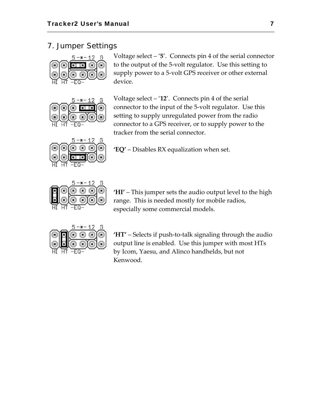## 7. Jumper Settings

![](_page_9_Figure_2.jpeg)

5  $-$ \* $-$  12 G

Voltage select – '**5**'. Connects pin 4 of the serial connector to the output of the 5‐volt regulator. Use this setting to supply power to a 5-volt GPS receiver or other external device.

Voltage select – '**12**'. Connects pin 4 of the serial connector to the input of the 5‐volt regulator. Use this setting to supply unregulated power from the radio connector to a GPS receiver, or to supply power to the tracker from the serial connector.

![](_page_9_Picture_6.jpeg)

**'EQ'** – Disables RX equalization when set.

![](_page_9_Picture_8.jpeg)

**'HI'** – This jumper sets the audio output level to the high range. This is needed mostly for mobile radios, especially some commercial models.

![](_page_9_Figure_10.jpeg)

**'HT'** – Selects if push‐to‐talk signaling through the audio output line is enabled. Use this jumper with most HTs by Icom, Yaesu, and Alinco handhelds, but not Kenwood.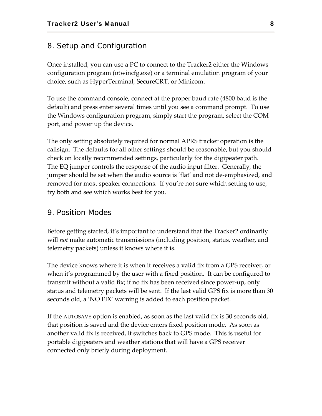## 8. Setup and Configuration

Once installed, you can use a PC to connect to the Tracker2 either the Windows configuration program (otwincfg.exe) or a terminal emulation program of your choice, such as HyperTerminal, SecureCRT, or Minicom.

To use the command console, connect at the proper baud rate (4800 baud is the default) and press enter several times until you see a command prompt. To use the Windows configuration program, simply start the program, select the COM port, and power up the device.

The only setting absolutely required for normal APRS tracker operation is the callsign. The defaults for all other settings should be reasonable, but you should check on locally recommended settings, particularly for the digipeater path. The EQ jumper controls the response of the audio input filter. Generally, the jumper should be set when the audio source is 'flat' and not de‐emphasized, and removed for most speaker connections. If you're not sure which setting to use, try both and see which works best for you.

## 9. Position Modes

Before getting started, it's important to understand that the Tracker2 ordinarily will *not* make automatic transmissions (including position, status, weather, and telemetry packets) unless it knows where it is.

The device knows where it is when it receives a valid fix from a GPS receiver, or when it's programmed by the user with a fixed position. It can be configured to transmit without a valid fix; if no fix has been received since power‐up, only status and telemetry packets will be sent. If the last valid GPS fix is more than 30 seconds old, a 'NO FIX' warning is added to each position packet.

If the AUTOSAVE option is enabled, as soon as the last valid fix is 30 seconds old, that position is saved and the device enters fixed position mode. As soon as another valid fix is received, it switches back to GPS mode. This is useful for portable digipeaters and weather stations that will have a GPS receiver connected only briefly during deployment.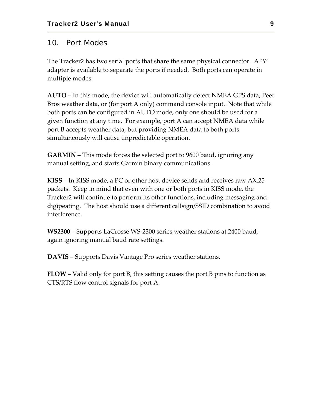## 10. Port Modes

The Tracker2 has two serial ports that share the same physical connector. A  $\Upsilon'$ adapter is available to separate the ports if needed. Both ports can operate in multiple modes:

**AUTO** – In this mode, the device will automatically detect NMEA GPS data, Peet Bros weather data, or (for port A only) command console input. Note that while both ports can be configured in AUTO mode, only one should be used for a given function at any time. For example, port A can accept NMEA data while port B accepts weather data, but providing NMEA data to both ports simultaneously will cause unpredictable operation.

**GARMIN** – This mode forces the selected port to 9600 baud, ignoring any manual setting, and starts Garmin binary communications.

**KISS** – In KISS mode, a PC or other host device sends and receives raw AX.25 packets. Keep in mind that even with one or both ports in KISS mode, the Tracker2 will continue to perform its other functions, including messaging and digipeating. The host should use a different callsign/SSID combination to avoid interference.

**WS2300** – Supports LaCrosse WS‐2300 series weather stations at 2400 baud, again ignoring manual baud rate settings.

**DAVIS** – Supports Davis Vantage Pro series weather stations.

**FLOW** – Valid only for port B, this setting causes the port B pins to function as CTS/RTS flow control signals for port A.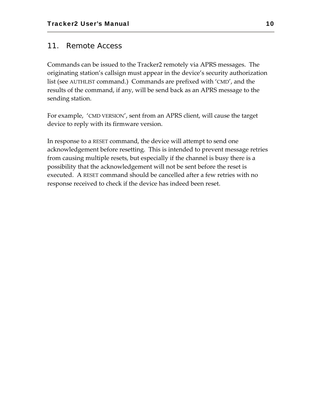## 11. Remote Access

Commands can be issued to the Tracker2 remotely via APRS messages. The originating station's callsign must appear in the device's security authorization list (see AUTHLIST command.) Commands are prefixed with 'CMD', and the results of the command, if any, will be send back as an APRS message to the sending station.

For example, 'CMD VERSION', sent from an APRS client, will cause the target device to reply with its firmware version.

In response to a RESET command, the device will attempt to send one acknowledgement before resetting. This is intended to prevent message retries from causing multiple resets, but especially if the channel is busy there is a possibility that the acknowledgement will not be sent before the reset is executed. A RESET command should be cancelled after a few retries with no response received to check if the device has indeed been reset.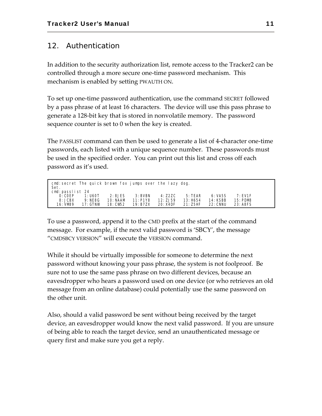## 12. Authentication

In addition to the security authorization list, remote access to the Tracker2 can be controlled through a more secure one‐time password mechanism. This mechanism is enabled by setting PWAUTH ON.

To set up one‐time password authentication, use the command SECRET followed by a pass phrase of at least 16 characters. The device will use this pass phrase to generate a 128‐bit key that is stored in nonvolatile memory. The password sequence counter is set to 0 when the key is created.

The PASSLIST command can then be used to generate a list of 4‐character one‐time passwords, each listed with a unique sequence number. These passwords must be used in the specified order. You can print out this list and cross off each password as it's used.

| cmd: secret The quick brown fox jumps over the lazy dog.<br>Set. |            |          |            |          |          |          |            |  |
|------------------------------------------------------------------|------------|----------|------------|----------|----------|----------|------------|--|
| cmd: passlist 24                                                 |            |          |            |          |          |          |            |  |
| 0: COEP                                                          | 1:U60T     | 2:8JES   | $3:$ BVBN  | 4: Z2ZC  | 5:TER    | 6: VA5S  | $7:$ FV1F  |  |
| 8:JCBX                                                           | 9: NE8G    | 10: NAAM | $11:$ P1Y8 | 12:7.159 | 13: H654 | 14: KSBB | $15:$ PDM8 |  |
| 16: VM89                                                         | $17:$ GTNW | 18: CW52 | 19: B7ZX   | 20: X4DF | 21: Z5HF | 22: CNNU | 23: A8FS   |  |

To use a password, append it to the CMD prefix at the start of the command message. For example, if the next valid password is 'SBCY', the message "CMDSBCY VERSION" will execute the VERSION command.

While it should be virtually impossible for someone to determine the next password without knowing your pass phrase, the system is not foolproof. Be sure not to use the same pass phrase on two different devices, because an eavesdropper who hears a password used on one device (or who retrieves an old message from an online database) could potentially use the same password on the other unit.

Also, should a valid password be sent without being received by the target device, an eavesdropper would know the next valid password. If you are unsure of being able to reach the target device, send an unauthenticated message or query first and make sure you get a reply.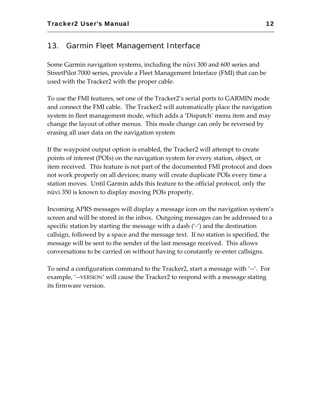## 13. Garmin Fleet Management Interface

Some Garmin navigation systems, including the nüvi 300 and 600 series and StreetPilot 7000 series, provide a Fleet Management Interface (FMI) that can be used with the Tracker2 with the proper cable.

To use the FMI features, set one of the Tracker2's serial ports to GARMIN mode and connect the FMI cable. The Tracker2 will automatically place the navigation system in fleet management mode, which adds a 'Dispatch' menu item and may change the layout of other menus. This mode change can only be reversed by erasing all user data on the navigation system

If the waypoint output option is enabled, the Tracker2 will attempt to create points of interest (POIs) on the navigation system for every station, object, or item received. This feature is not part of the documented FMI protocol and does not work properly on all devices; many will create duplicate POIs every time a station moves. Until Garmin adds this feature to the official protocol, only the nüvi 350 is known to display moving POIs properly.

Incoming APRS messages will display a message icon on the navigation system's screen and will be stored in the inbox. Outgoing messages can be addressed to a specific station by starting the message with a dash ('‐') and the destination callsign, followed by a space and the message text. If no station is specified, the message will be sent to the sender of the last message received. This allows conversations to be carried on without having to constantly re‐enter callsigns.

To send a configuration command to the Tracker2, start a message with '‐‐'. For example, '--VERSION' will cause the Tracker2 to respond with a message stating its firmware version.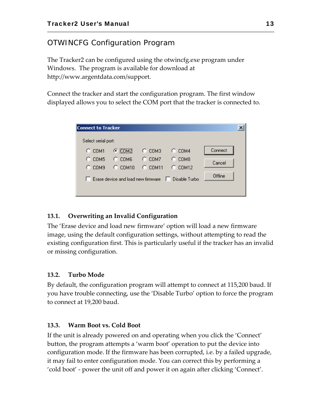## OTWINCFG Configuration Program

The Tracker2 can be configured using the otwincfg.exe program under Windows. The program is available for download at http://www.argentdata.com/support.

Connect the tracker and start the configuration program. The first window displayed allows you to select the COM port that the tracker is connected to.

| <b>Connect to Tracker</b> |                                    |            |                        |         | × |
|---------------------------|------------------------------------|------------|------------------------|---------|---|
| Select serial port:       |                                    |            |                        |         |   |
| $C$ COM1                  | $C$ COM <sub>2</sub>               | $C_{COM3}$ | $C$ COM4               | Connect |   |
| COM5                      | $C$ COM <sub>6</sub>               | COM7<br>o  | COM <sub>8</sub><br>O. | Cancel  |   |
| o<br>COM9                 | $C$ COM10                          | $C$ COM11  | $C$ COM12              |         |   |
|                           | Erase device and load new firmware |            | Disable Turbo<br>ш     | Offline |   |
|                           |                                    |            |                        |         |   |

## **13.1. Overwriting an Invalid Configuration**

The 'Erase device and load new firmware' option will load a new firmware image, using the default configuration settings, without attempting to read the existing configuration first. This is particularly useful if the tracker has an invalid or missing configuration.

## **13.2. Turbo Mode**

By default, the configuration program will attempt to connect at 115,200 baud. If you have trouble connecting, use the 'Disable Turbo' option to force the program to connect at 19,200 baud.

## **13.3. Warm Boot vs. Cold Boot**

If the unit is already powered on and operating when you click the 'Connect' button, the program attempts a 'warm boot' operation to put the device into configuration mode. If the firmware has been corrupted, i.e. by a failed upgrade, it may fail to enter configuration mode. You can correct this by performing a 'cold boot' ‐ power the unit off and power it on again after clicking 'Connect'.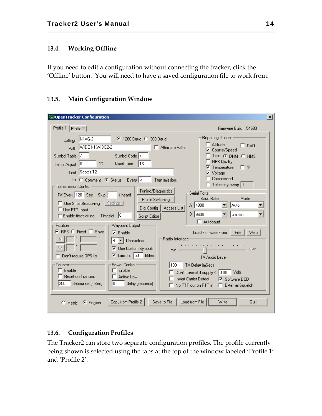## **13.4. Working Offline**

If you need to edit a configuration without connecting the tracker, click the 'Offline' button. You will need to have a saved configuration file to work from.

## **13.5. Main Configuration Window**

| <b>DenTracker Configuration</b>                                                                                                                                                                                                                                                                                                                                                                                                                                                                                                                                                                                                                                                                                                                                                                                                                                                                                                                                                                                              | $\vert x \vert$                                                                                                                                                                                                                                                                                                                                                                                                                                                                      |
|------------------------------------------------------------------------------------------------------------------------------------------------------------------------------------------------------------------------------------------------------------------------------------------------------------------------------------------------------------------------------------------------------------------------------------------------------------------------------------------------------------------------------------------------------------------------------------------------------------------------------------------------------------------------------------------------------------------------------------------------------------------------------------------------------------------------------------------------------------------------------------------------------------------------------------------------------------------------------------------------------------------------------|--------------------------------------------------------------------------------------------------------------------------------------------------------------------------------------------------------------------------------------------------------------------------------------------------------------------------------------------------------------------------------------------------------------------------------------------------------------------------------------|
| Profile 1<br>Profile 2                                                                                                                                                                                                                                                                                                                                                                                                                                                                                                                                                                                                                                                                                                                                                                                                                                                                                                                                                                                                       | Firmware Build 54680                                                                                                                                                                                                                                                                                                                                                                                                                                                                 |
| Callsign N1VG-2<br>C 1200 Baud C 300 Baud<br>Path WIDE1-1, WIDE2-2<br>$\Box$ Alternate Paths<br>Symbol Table<br>Symbol Code ><br>Quiet Time<br>°C.<br>116<br>Temp. Adjust 0<br>Text Scott's T2<br>In C Comment C Status Every 5<br>Transmissions<br><b>Transmission Control-</b><br>Tuning/Diagnostics<br>Serial Ports-<br>TX Every 120 Sec Skip 1<br>if heard<br>Profile Switching<br>Use SmartBeaconing Settings<br>A 4800<br>Digi Config<br>Access List<br>$\Box$ Use PTT Input<br>9600<br>В.<br>Enable timeslotting Timeslot 0<br>Script Editor<br>Position-<br>Waypoint Output-<br>© GPS © Fixed □ Save<br>$\nabla$ Enable<br>Radio Interface:<br>9<br>$\blacktriangleright$ Characters<br>Use Custom Symbols<br>⊽<br>min.<br>$\overline{\triangleright}$ Limit To 50<br>Miles<br>Don't require GPS fix<br>Power Control:<br>Counter<br>TX Delay (mSec)<br>100<br>Enable<br>Enable<br><b>Reset on Transmit</b><br>$\Box$ Active Low<br><b>Invert Carrier Detect</b><br>250<br>debounce (mSec)<br>IO.<br>delay (seconds) | Reporting Options:<br><b>Altitude</b><br>DA0<br>⊓<br>Course/Speed<br>$Time$ $G$ $DHM$ $G$ $HMS$<br><b>GPS Quality</b><br>Гf<br>Temperature<br>Voltage<br>"<br>Compressed<br>Telemetry every $ 0\rangle$<br><b>Baud Rate</b><br>Mode<br>Auto<br>Garmin<br>Autobaud<br>Web<br><b>Load Firmware From</b><br>File<br>. 1<br>max<br>TX Audio Level<br>Don't transmit if supply $\langle$ $ 0.00\rangle$<br>Volts<br><b>▽</b> Software DCD<br>No PTT out on PTT in $\Box$ External Squelch |
| Copy from Profile 2<br>Load from File<br>Save to File<br>$\bullet$ English<br>Metric                                                                                                                                                                                                                                                                                                                                                                                                                                                                                                                                                                                                                                                                                                                                                                                                                                                                                                                                         | Write<br>Quit                                                                                                                                                                                                                                                                                                                                                                                                                                                                        |

## **13.6. Configuration Profiles**

The Tracker2 can store two separate configuration profiles. The profile currently being shown is selected using the tabs at the top of the window labeled 'Profile 1' and 'Profile 2'.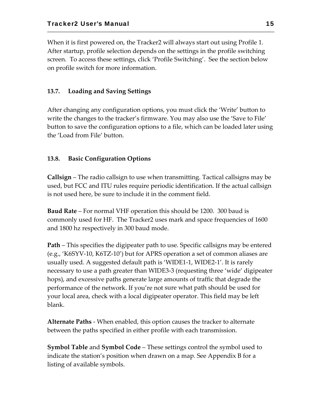When it is first powered on, the Tracker2 will always start out using Profile 1. After startup, profile selection depends on the settings in the profile switching screen. To access these settings, click 'Profile Switching'. See the section below on profile switch for more information.

## **13.7. Loading and Saving Settings**

After changing any configuration options, you must click the 'Write' button to write the changes to the tracker's firmware. You may also use the 'Save to File' button to save the configuration options to a file, which can be loaded later using the 'Load from File' button.

## **13.8. Basic Configuration Options**

**Callsign** – The radio callsign to use when transmitting. Tactical callsigns may be used, but FCC and ITU rules require periodic identification. If the actual callsign is not used here, be sure to include it in the comment field.

**Baud Rate** – For normal VHF operation this should be 1200. 300 baud is commonly used for HF. The Tracker2 uses mark and space frequencies of 1600 and 1800 hz respectively in 300 baud mode.

**Path** – This specifies the digipeater path to use. Specific callsigns may be entered (e.g., 'K6SYV‐10, K6TZ‐10') but for APRS operation a set of common aliases are usually used. A suggested default path is 'WIDE1‐1, WIDE2‐1'. It is rarely necessary to use a path greater than WIDE3‐3 (requesting three 'wide' digipeater hops), and excessive paths generate large amounts of traffic that degrade the performance of the network. If you're not sure what path should be used for your local area, check with a local digipeater operator. This field may be left blank.

**Alternate Paths** ‐ When enabled, this option causes the tracker to alternate between the paths specified in either profile with each transmission.

**Symbol Table** and **Symbol Code** – These settings control the symbol used to indicate the station's position when drawn on a map. See Appendix B for a listing of available symbols.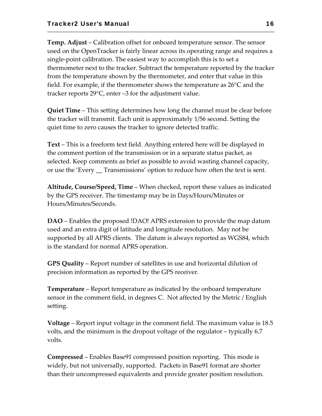**Temp. Adjust** – Calibration offset for onboard temperature sensor. The sensor used on the OpenTracker is fairly linear across its operating range and requires a single‐point calibration. The easiest way to accomplish this is to set a thermometer next to the tracker. Subtract the temperature reported by the tracker from the temperature shown by the thermometer, and enter that value in this field. For example, if the thermometer shows the temperature as 26°C and the tracker reports 29°C, enter –3 for the adjustment value.

**Quiet Time** – This setting determines how long the channel must be clear before the tracker will transmit. Each unit is approximately 1/56 second. Setting the quiet time to zero causes the tracker to ignore detected traffic.

**Text** – This is a freeform text field. Anything entered here will be displayed in the comment portion of the transmission or in a separate status packet, as selected. Keep comments as brief as possible to avoid wasting channel capacity, or use the 'Every \_\_ Transmissions' option to reduce how often the text is sent.

**Altitude, Course/Speed, Time** – When checked, report these values as indicated by the GPS receiver. The timestamp may be in Days/Hours/Minutes or Hours/Minutes/Seconds.

**DAO** – Enables the proposed !DAO! APRS extension to provide the map datum used and an extra digit of latitude and longitude resolution. May not be supported by all APRS clients. The datum is always reported as WGS84, which is the standard for normal APRS operation.

**GPS Quality** – Report number of satellites in use and horizontal dilution of precision information as reported by the GPS receiver.

**Temperature** – Report temperature as indicated by the onboard temperature sensor in the comment field, in degrees C. Not affected by the Metric / English setting.

**Voltage** – Report input voltage in the comment field. The maximum value is 18.5 volts, and the minimum is the dropout voltage of the regulator – typically 6.7 volts.

**Compressed** – Enables Base91 compressed position reporting. This mode is widely, but not universally, supported. Packets in Base91 format are shorter than their uncompressed equivalents and provide greater position resolution.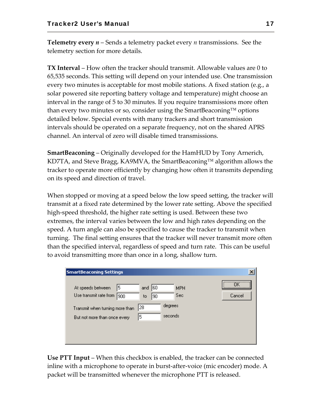**Telemetry every** *n* – Sends a telemetry packet every *n* transmissions. See the telemetry section for more details.

**TX Interval** – How often the tracker should transmit. Allowable values are 0 to 65,535 seconds. This setting will depend on your intended use. One transmission every two minutes is acceptable for most mobile stations. A fixed station (e.g., a solar powered site reporting battery voltage and temperature) might choose an interval in the range of 5 to 30 minutes. If you require transmissions more often than every two minutes or so, consider using the SmartBeaconing™ options detailed below. Special events with many trackers and short transmission intervals should be operated on a separate frequency, not on the shared APRS channel. An interval of zero will disable timed transmissions.

**SmartBeaconing** – Originally developed for the HamHUD by Tony Arnerich, KD7TA, and Steve Bragg, KA9MVA, the SmartBeaconing™ algorithm allows the tracker to operate more efficiently by changing how often it transmits depending on its speed and direction of travel.

When stopped or moving at a speed below the low speed setting, the tracker will transmit at a fixed rate determined by the lower rate setting. Above the specified high‐speed threshold, the higher rate setting is used. Between these two extremes, the interval varies between the low and high rates depending on the speed. A turn angle can also be specified to cause the tracker to transmit when turning. The final setting ensures that the tracker will never transmit more often than the specified interval, regardless of speed and turn rate. This can be useful to avoid transmitting more than once in a long, shallow turn.

| <b>SmartBeaconing Settings</b>                                                                         | $\times$        |
|--------------------------------------------------------------------------------------------------------|-----------------|
| 5<br>60<br>At speeds between<br><b>MPH</b><br>and<br>Use transmit rate from<br>Sec.<br>900<br>90<br>to | <br>\<br>Cancel |
| degrees<br> 28<br>Transmit when turning more than<br>seconds<br>5<br>But not more than once every      |                 |

**Use PTT Input** – When this checkbox is enabled, the tracker can be connected inline with a microphone to operate in burst‐after‐voice (mic encoder) mode. A packet will be transmitted whenever the microphone PTT is released.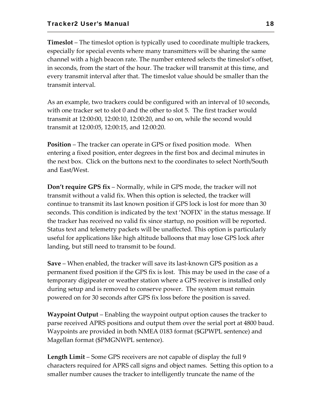**Timeslot** – The timeslot option is typically used to coordinate multiple trackers, especially for special events where many transmitters will be sharing the same channel with a high beacon rate. The number entered selects the timeslot's offset, in seconds, from the start of the hour. The tracker will transmit at this time, and every transmit interval after that. The timeslot value should be smaller than the transmit interval.

As an example, two trackers could be configured with an interval of 10 seconds, with one tracker set to slot 0 and the other to slot 5. The first tracker would transmit at 12:00:00, 12:00:10, 12:00:20, and so on, while the second would transmit at 12:00:05, 12:00:15, and 12:00:20.

**Position** – The tracker can operate in GPS or fixed position mode. When entering a fixed position, enter degrees in the first box and decimal minutes in the next box. Click on the buttons next to the coordinates to select North/South and East/West.

**Don't require GPS fix** – Normally, while in GPS mode, the tracker will not transmit without a valid fix. When this option is selected, the tracker will continue to transmit its last known position if GPS lock is lost for more than 30 seconds. This condition is indicated by the text 'NOFIX' in the status message. If the tracker has received no valid fix since startup, no position will be reported. Status text and telemetry packets will be unaffected. This option is particularly useful for applications like high altitude balloons that may lose GPS lock after landing, but still need to transmit to be found.

**Save** – When enabled, the tracker will save its last‐known GPS position as a permanent fixed position if the GPS fix is lost. This may be used in the case of a temporary digipeater or weather station where a GPS receiver is installed only during setup and is removed to conserve power. The system must remain powered on for 30 seconds after GPS fix loss before the position is saved.

**Waypoint Output** – Enabling the waypoint output option causes the tracker to parse received APRS positions and output them over the serial port at 4800 baud. Waypoints are provided in both NMEA 0183 format (\$GPWPL sentence) and Magellan format (\$PMGNWPL sentence).

**Length Limit** – Some GPS receivers are not capable of display the full 9 characters required for APRS call signs and object names. Setting this option to a smaller number causes the tracker to intelligently truncate the name of the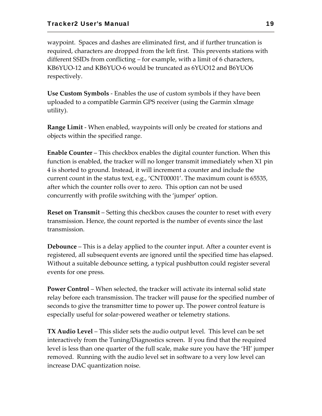waypoint. Spaces and dashes are eliminated first, and if further truncation is required, characters are dropped from the left first. This prevents stations with different SSIDs from conflicting – for example, with a limit of 6 characters, KB6YUO‐12 and KB6YUO‐6 would be truncated as 6YUO12 and B6YUO6 respectively.

**Use Custom Symbols** ‐ Enables the use of custom symbols if they have been uploaded to a compatible Garmin GPS receiver (using the Garmin xImage utility).

**Range Limit** ‐ When enabled, waypoints will only be created for stations and objects within the specified range.

**Enable Counter** – This checkbox enables the digital counter function. When this function is enabled, the tracker will no longer transmit immediately when X1 pin 4 is shorted to ground. Instead, it will increment a counter and include the current count in the status text, e.g., 'CNT00001'. The maximum count is 65535, after which the counter rolls over to zero. This option can not be used concurrently with profile switching with the 'jumper' option.

**Reset on Transmit** – Setting this checkbox causes the counter to reset with every transmission. Hence, the count reported is the number of events since the last transmission.

**Debounce** – This is a delay applied to the counter input. After a counter event is registered, all subsequent events are ignored until the specified time has elapsed. Without a suitable debounce setting, a typical pushbutton could register several events for one press.

**Power Control** – When selected, the tracker will activate its internal solid state relay before each transmission. The tracker will pause for the specified number of seconds to give the transmitter time to power up. The power control feature is especially useful for solar‐powered weather or telemetry stations.

**TX Audio Level** – This slider sets the audio output level. This level can be set interactively from the Tuning/Diagnostics screen. If you find that the required level is less than one quarter of the full scale, make sure you have the 'HI' jumper removed. Running with the audio level set in software to a very low level can increase DAC quantization noise.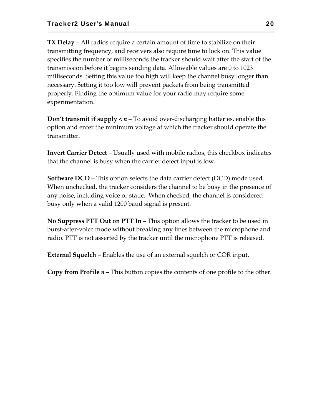**TX Delay** – All radios require a certain amount of time to stabilize on their transmitting frequency, and receivers also require time to lock on. This value specifies the number of milliseconds the tracker should wait after the start of the transmission before it begins sending data. Allowable values are 0 to 1023 milliseconds. Setting this value too high will keep the channel busy longer than necessary. Setting it too low will prevent packets from being transmitted properly. Finding the optimum value for your radio may require some experimentation.

**Don't transmit if supply <** *n* – To avoid over‐discharging batteries, enable this option and enter the minimum voltage at which the tracker should operate the transmitter.

**Invert Carrier Detect** – Usually used with mobile radios, this checkbox indicates that the channel is busy when the carrier detect input is low.

**Software DCD** – This option selects the data carrier detect (DCD) mode used. When unchecked, the tracker considers the channel to be busy in the presence of any noise, including voice or static. When checked, the channel is considered busy only when a valid 1200 baud signal is present.

**No Suppress PTT Out on PTT In** – This option allows the tracker to be used in burst‐after‐voice mode without breaking any lines between the microphone and radio. PTT is not asserted by the tracker until the microphone PTT is released.

**External Squelch** – Enables the use of an external squelch or COR input.

**Copy from Profile** *n* – This button copies the contents of one profile to the other.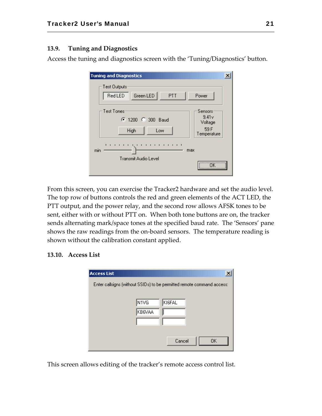## **13.9. Tuning and Diagnostics**

Access the tuning and diagnostics screen with the 'Tuning/Diagnostics' button.

| <b>Tuning and Diagnostics</b>                                                                                |  |
|--------------------------------------------------------------------------------------------------------------|--|
| Test Outputs:<br>Green LED<br>RedLED<br><b>PTT</b><br>Power                                                  |  |
| <b>Test Tones</b><br>Sensors:<br>9.41v<br>● 1200 ● 300 Baud<br>Voltage<br>59 F<br>High<br>Low<br>Temperature |  |
| п<br>.<br>$\blacksquare$<br>min<br>max<br>Transmit Audio Level<br><br>                                       |  |

From this screen, you can exercise the Tracker2 hardware and set the audio level. The top row of buttons controls the red and green elements of the ACT LED, the PTT output, and the power relay, and the second row allows AFSK tones to be sent, either with or without PTT on. When both tone buttons are on, the tracker sends alternating mark/space tones at the specified baud rate. The 'Sensors' pane shows the raw readings from the on‐board sensors. The temperature reading is shown without the calibration constant applied.

#### **13.10. Access List**

| <b>Access List</b>                                                     |        |        |     |
|------------------------------------------------------------------------|--------|--------|-----|
| Enter callsigns (without SSIDs) to be permitted remote command access: |        |        |     |
|                                                                        |        |        |     |
|                                                                        | N1VG   | KI6FAL |     |
|                                                                        | KB6VAA |        |     |
|                                                                        |        |        |     |
|                                                                        |        |        |     |
|                                                                        |        | Cancel | 0K. |
|                                                                        |        |        |     |

This screen allows editing of the tracker's remote access control list.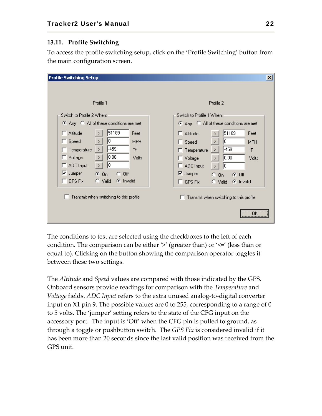## **13.11. Profile Switching**

To access the profile switching setup, click on the 'Profile Switching' button from the main configuration screen.

| <b>Profile Switching Setup</b>                         | $\vert x \vert$                                          |
|--------------------------------------------------------|----------------------------------------------------------|
|                                                        |                                                          |
| Profile 1                                              | Profile 2                                                |
|                                                        |                                                          |
| Switch to Profile 2 When:                              | Switch to Profile 1 When:                                |
| C Any C All of these conditions are met                | C Any C All of these conditions are met                  |
| 51189<br>Altitude<br>Feet                              | 51189<br>Feet<br>$\Box$ Altitude                         |
| 10<br>$\Box$ Speed<br>$\rightarrow$<br><b>MPH</b>      | O.<br>$\rightarrow$<br>$\Box$ Speed<br><b>MPH</b>        |
| $-459$<br>۰F<br>$\rightarrow$<br>Temperature           | $-459$<br>۴F<br>$\Box$ Temperature<br>→                  |
| 0.00<br>Voltage<br>$\rightarrow$<br>Volts              | 0.00<br>□ Voltage<br>Volts<br>$\rightarrow$              |
| 10<br>ADC Input<br>$\sum_{i=1}^{n}$<br>U               | $\Box$ ADC Input<br>lo.<br>⋗                             |
| $\nabla$ Jumper<br>$G$ On<br>$C$ Off                   | $\overline{\triangledown}$ Jumper<br>$C_0$ On<br>$G$ Off |
| $\Box$ GPS Fix<br>$\bigcirc$ Valid<br><b>C</b> Invalid | C Invalid<br>$\Box$ GPS Fix<br>$\bigcirc$ Valid          |
|                                                        |                                                          |
| $\Box$ Transmit when switching to this profile         | Transmit when switching to this profile                  |
|                                                        |                                                          |
|                                                        | $\overline{\overline{\text{OK}}}$<br>                    |
|                                                        |                                                          |

The conditions to test are selected using the checkboxes to the left of each condition. The comparison can be either '>' (greater than) or '<=' (less than or equal to). Clicking on the button showing the comparison operator toggles it between these two settings.

The *Altitude* and *Speed* values are compared with those indicated by the GPS. Onboard sensors provide readings for comparison with the *Temperature* and *Voltage* fields. *ADC Input* refers to the extra unused analog‐to‐digital converter input on X1 pin 9. The possible values are 0 to 255, corresponding to a range of 0 to 5 volts. The 'jumper' setting refers to the state of the CFG input on the accessory port. The input is 'Off' when the CFG pin is pulled to ground, as through a toggle or pushbutton switch. The *GPS Fix* is considered invalid if it has been more than 20 seconds since the last valid position was received from the GPS unit.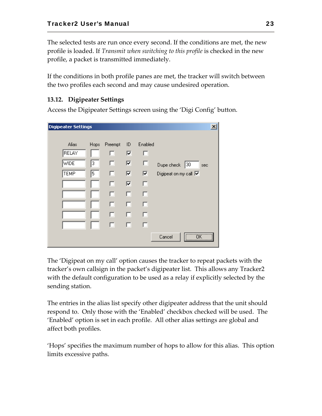The selected tests are run once every second. If the conditions are met, the new profile is loaded. If *Transmit when switching to this profile* is checked in the new profile, a packet is transmitted immediately.

If the conditions in both profile panes are met, the tracker will switch between the two profiles each second and may cause undesired operation.

## **13.12. Digipeater Settings**

**Digipeater Settings**  $\vert x \vert$ Enabled Alias Preempt  $ID$ Hops RELAY  $\overline{\mathbf{v}}$ п п wide 3 п ⊽ п Dupe check 30 sec **TEMP** 5  $\Box$  $\overline{\mathbf{v}}$  $\overline{\mathbf{v}}$ Digipeat on my call  $\overline{\mathbf{V}}$  $\Box$  $\overline{\mathbf{v}}$  $\Box$  $\Box$  $\Box$  $\Box$ п п п П п. п П.  $\Box$ п Cancel ÖK

Access the Digipeater Settings screen using the 'Digi Config' button.

The 'Digipeat on my call' option causes the tracker to repeat packets with the tracker's own callsign in the packet's digipeater list. This allows any Tracker2 with the default configuration to be used as a relay if explicitly selected by the sending station.

The entries in the alias list specify other digipeater address that the unit should respond to. Only those with the 'Enabled' checkbox checked will be used. The 'Enabled' option is set in each profile. All other alias settings are global and affect both profiles.

'Hops' specifies the maximum number of hops to allow for this alias. This option limits excessive paths.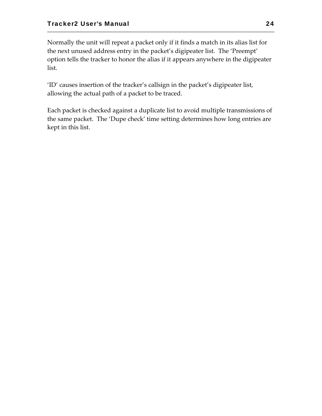Normally the unit will repeat a packet only if it finds a match in its alias list for the next unused address entry in the packet's digipeater list. The 'Preempt' option tells the tracker to honor the alias if it appears anywhere in the digipeater list.

'ID' causes insertion of the tracker's callsign in the packet's digipeater list, allowing the actual path of a packet to be traced.

Each packet is checked against a duplicate list to avoid multiple transmissions of the same packet. The 'Dupe check' time setting determines how long entries are kept in this list.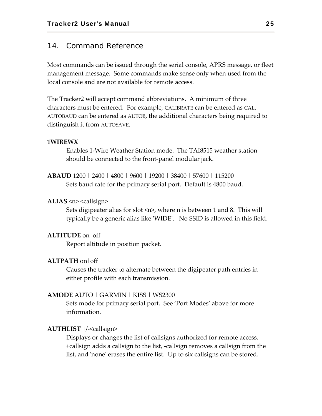## 14. Command Reference

Most commands can be issued through the serial console, APRS message, or fleet management message. Some commands make sense only when used from the local console and are not available for remote access.

The Tracker2 will accept command abbreviations. A minimum of three characters must be entered. For example, CALIBRATE can be entered as CAL. AUTOBAUD can be entered as AUTOB, the additional characters being required to distinguish it from AUTOSAVE.

#### **1WIREWX**

Enables 1‐Wire Weather Station mode. The TAI8515 weather station should be connected to the front‐panel modular jack.

**ABAUD** 1200 | 2400 | 4800 | 9600 | 19200 | 38400 | 57600 | 115200 Sets baud rate for the primary serial port. Default is 4800 baud.

#### **ALIAS**  $\leq n$ >  $\leq$ callsign>

Sets digipeater alias for slot  $\langle n \rangle$ , where n is between 1 and 8. This will typically be a generic alias like 'WIDE'. No SSID is allowed in this field.

#### **ALTITUDE** on|off

Report altitude in position packet.

#### **ALTPATH** on|off

Causes the tracker to alternate between the digipeater path entries in either profile with each transmission.

#### **AMODE** AUTO | GARMIN | KISS | WS2300

Sets mode for primary serial port. See 'Port Modes' above for more information.

#### **AUTHLIST** +/‐<callsign>

Displays or changes the list of callsigns authorized for remote access. +callsign adds a callsign to the list, ‐callsign removes a callsign from the list, and 'none' erases the entire list. Up to six callsigns can be stored.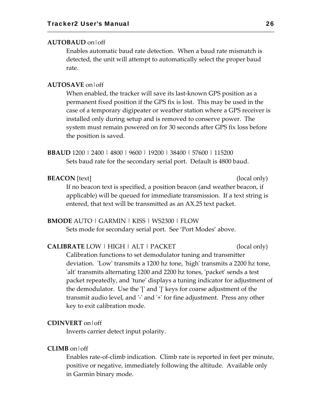#### **AUTOBAUD** on|off

Enables automatic baud rate detection. When a baud rate mismatch is detected, the unit will attempt to automatically select the proper baud rate.

#### **AUTOSAVE** on|off

When enabled, the tracker will save its last-known GPS position as a permanent fixed position if the GPS fix is lost. This may be used in the case of a temporary digipeater or weather station where a GPS receiver is installed only during setup and is removed to conserve power. The system must remain powered on for 30 seconds after GPS fix loss before the position is saved.

**BBAUD** 1200 | 2400 | 4800 | 9600 | 19200 | 38400 | 57600 | 115200 Sets baud rate for the secondary serial port. Default is 4800 baud.

#### **BEACON** [text] (local only)

If no beacon text is specified, a position beacon (and weather beacon, if applicable) will be queued for immediate transmission. If a text string is entered, that text will be transmitted as an AX.25 text packet.

#### **BMODE** AUTO | GARMIN | KISS | WS2300 | FLOW

Sets mode for secondary serial port. See 'Port Modes' above.

**CALIBRATE** LOW | HIGH | ALT | PACKET (local only) Calibration functions to set demodulator tuning and transmitter deviation. 'Low' transmits a 1200 hz tone, 'high' transmits a 2200 hz tone, ʹaltʹ transmits alternating 1200 and 2200 hz tones, ʹpacketʹ sends a test packet repeatedly, and 'tune' displays a tuning indicator for adjustment of the demodulator. Use the ʹ[ʹ and ʹ]ʹ keys for coarse adjustment of the transmit audio level, and '-' and '+' for fine adjustment. Press any other key to exit calibration mode.

#### **CDINVERT** on|off

Inverts carrier detect input polarity.

#### **CLIMB** on|off

Enables rate‐of‐climb indication. Climb rate is reported in feet per minute, positive or negative, immediately following the altitude. Available only in Garmin binary mode.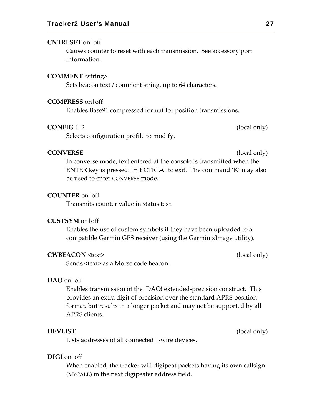#### **CNTRESET** on|off

Causes counter to reset with each transmission. See accessory port information.

#### **COMMENT** <string>

Sets beacon text / comment string, up to 64 characters.

#### **COMPRESS** on|off

Enables Base91 compressed format for position transmissions.

#### **CONFIG** 1|2 (local only)

Selects configuration profile to modify.

#### **CONVERSE** (local only)

In converse mode, text entered at the console is transmitted when the ENTER key is pressed. Hit CTRL‐C to exit. The command 'K' may also be used to enter CONVERSE mode.

#### **COUNTER** on|off

Transmits counter value in status text.

#### **CUSTSYM** on|off

Enables the use of custom symbols if they have been uploaded to a compatible Garmin GPS receiver (using the Garmin xImage utility).

#### **CWBEACON** <text> (local only)

Sends <text> as a Morse code beacon.

### **DAO** on|off

Enables transmission of the !DAO! extended‐precision construct. This provides an extra digit of precision over the standard APRS position format, but results in a longer packet and may not be supported by all APRS clients.

**DEVLIST** (local only)

Lists addresses of all connected 1‐wire devices.

#### **DIGI** on|off

When enabled, the tracker will digipeat packets having its own callsign (MYCALL) in the next digipeater address field.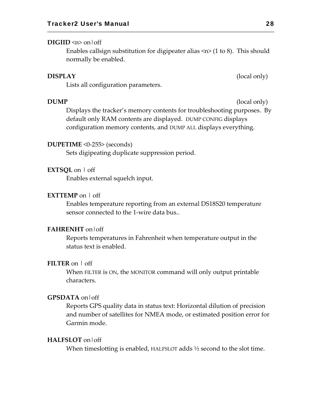#### $\text{DIGIID} \leq n$  on off

Enables callsign substitution for digipeater alias  $\langle n \rangle$  (1 to 8). This should normally be enabled.

#### **DISPLAY** (local only)

Lists all configuration parameters.

**DUMP** (local only)

Displays the tracker's memory contents for troubleshooting purposes. By default only RAM contents are displayed. DUMP CONFIG displays configuration memory contents, and DUMP ALL displays everything.

#### **DUPETIME** <0‐255> (seconds)

Sets digipeating duplicate suppression period.

#### **EXTSQL** on | off

Enables external squelch input.

#### **EXTTEMP** on | off

Enables temperature reporting from an external DS18S20 temperature sensor connected to the 1-wire data bus..

#### **FAHRENHT** on|off

Reports temperatures in Fahrenheit when temperature output in the status text is enabled.

#### **FILTER** on | off

When FILTER is ON, the MONITOR command will only output printable characters.

#### **GPSDATA** on|off

Reports GPS quality data in status text: Horizontal dilution of precision and number of satellites for NMEA mode, or estimated position error for Garmin mode.

#### **HALFSLOT** on|off

When timeslotting is enabled, HALFSLOT adds <sup>1</sup>/<sub>2</sub> second to the slot time.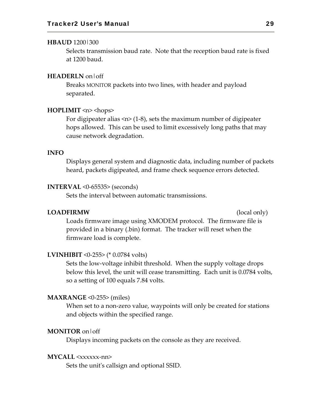#### **HBAUD** 1200|300

Selects transmission baud rate. Note that the reception baud rate is fixed at 1200 baud.

#### **HEADERLN** on|off

Breaks MONITOR packets into two lines, with header and payload separated.

#### **HOPLIMIT** <n> <hops>

For digipeater alias  $\langle n \rangle$  (1-8), sets the maximum number of digipeater hops allowed. This can be used to limit excessively long paths that may cause network degradation.

#### **INFO**

Displays general system and diagnostic data, including number of packets heard, packets digipeated, and frame check sequence errors detected.

#### **INTERVAL** <0‐65535> (seconds)

Sets the interval between automatic transmissions.

#### **LOADFIRMW** (local only)

Loads firmware image using XMODEM protocol. The firmware file is provided in a binary (.bin) format. The tracker will reset when the firmware load is complete.

#### **LVINHIBIT** <0‐255> (\* 0.0784 volts)

Sets the low‐voltage inhibit threshold. When the supply voltage drops below this level, the unit will cease transmitting. Each unit is 0.0784 volts, so a setting of 100 equals 7.84 volts.

#### **MAXRANGE** <0‐255> (miles)

When set to a non-zero value, waypoints will only be created for stations and objects within the specified range.

#### **MONITOR** on|off

Displays incoming packets on the console as they are received.

#### **MYCALL** <xxxxxx‐nn>

Sets the unitʹs callsign and optional SSID.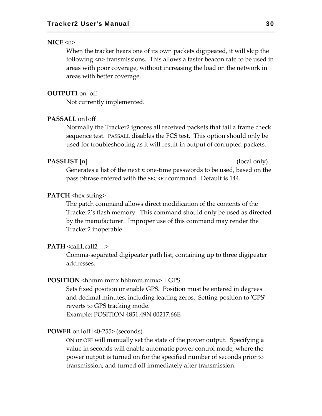#### **NICE** <n>

When the tracker hears one of its own packets digipeated, it will skip the following <n> transmissions. This allows a faster beacon rate to be used in areas with poor coverage, without increasing the load on the network in areas with better coverage.

#### **OUTPUT1** on|off

Not currently implemented.

## **PASSALL** on|off

Normally the Tracker2 ignores all received packets that fail a frame check sequence test. PASSALL disables the FCS test. This option should only be used for troubleshooting as it will result in output of corrupted packets.

#### **PASSLIST** [n] (local only)

Generates a list of the next *n* one‐time passwords to be used, based on the pass phrase entered with the SECRET command. Default is 144.

#### **PATCH** <hex string>

The patch command allows direct modification of the contents of the Tracker2's flash memory. This command should only be used as directed by the manufacturer. Improper use of this command may render the Tracker2 inoperable.

#### $\textbf{PATH} \leq \text{call1, call2}, \ldots$

Comma‐separated digipeater path list, containing up to three digipeater addresses.

### **POSITION** <hhmm.mmx hhhmm.mmx> | GPS

Sets fixed position or enable GPS. Position must be entered in degrees and decimal minutes, including leading zeros. Setting position to ʹGPSʹ reverts to GPS tracking mode.

Example: POSITION 4851.49N 00217.66E

#### **POWER** on|off|<0‐255> (seconds)

ON or OFF will manually set the state of the power output. Specifying a value in seconds will enable automatic power control mode, where the power output is turned on for the specified number of seconds prior to transmission, and turned off immediately after transmission.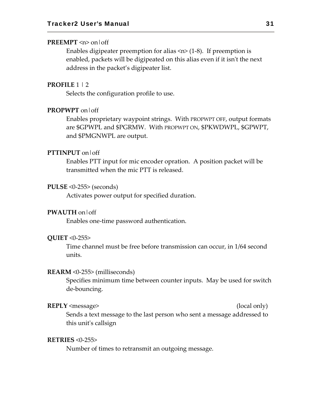#### **PREEMPT** <n> on|off

Enables digipeater preemption for alias  $\langle n \rangle$  (1-8). If preemption is enabled, packets will be digipeated on this alias even if it isn't the next address in the packet's digipeater list.

#### **PROFILE** 1 | 2

Selects the configuration profile to use.

#### **PROPWPT** on|off

Enables proprietary waypoint strings. With PROPWPT OFF, output formats are \$GPWPL and \$PGRMW. With PROPWPT ON, \$PKWDWPL, \$GPWPT, and \$PMGNWPL are output.

## **PTTINPUT** on|off

Enables PTT input for mic encoder opration. A position packet will be transmitted when the mic PTT is released.

#### **PULSE** <0‐255> (seconds)

Activates power output for specified duration.

#### **PWAUTH** on|off

Enables one‐time password authentication.

#### **QUIET** <0‐255>

Time channel must be free before transmission can occur, in 1/64 second units.

#### **REARM** <0‐255> (milliseconds)

Specifies minimum time between counter inputs. May be used for switch de‐bouncing.

#### **REPLY** <message> (local only)

Sends a text message to the last person who sent a message addressed to this unitʹs callsign

#### **RETRIES** <0‐255>

Number of times to retransmit an outgoing message.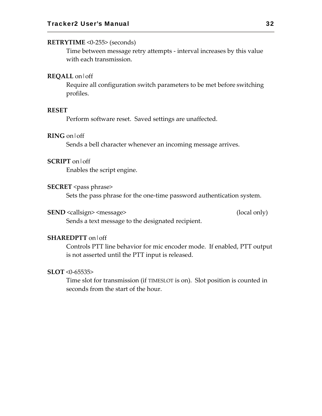#### **RETRYTIME** <0‐255> (seconds)

Time between message retry attempts ‐ interval increases by this value with each transmission.

#### **REQALL** on|off

Require all configuration switch parameters to be met before switching profiles.

#### **RESET**

Perform software reset. Saved settings are unaffected.

### **RING** on|off

Sends a bell character whenever an incoming message arrives.

#### **SCRIPT** on|off

Enables the script engine.

#### **SECRET** <pass phrase>

Sets the pass phrase for the one‐time password authentication system.

#### **SEND** <callsign> <message> (local only)

Sends a text message to the designated recipient.

#### **SHAREDPTT** on|off

Controls PTT line behavior for mic encoder mode. If enabled, PTT output is not asserted until the PTT input is released.

#### **SLOT** <0‐65535>

Time slot for transmission (if TIMESLOT is on). Slot position is counted in seconds from the start of the hour.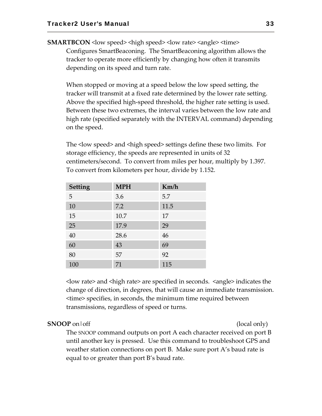**SMARTBCON** < low speed > < high speed > < low rate > < angle > < time > Configures SmartBeaconing. The SmartBeaconing algorithm allows the tracker to operate more efficiently by changing how often it transmits depending on its speed and turn rate.

When stopped or moving at a speed below the low speed setting, the tracker will transmit at a fixed rate determined by the lower rate setting. Above the specified high‐speed threshold, the higher rate setting is used. Between these two extremes, the interval varies between the low rate and high rate (specified separately with the INTERVAL command) depending on the speed.

The < low speed > and < high speed > settings define these two limits. For storage efficiency, the speeds are represented in units of 32 centimeters/second. To convert from miles per hour, multiply by 1.397. To convert from kilometers per hour, divide by 1.152.

| <b>Setting</b> | <b>MPH</b> | Km/h |
|----------------|------------|------|
| 5              | 3.6        | 5.7  |
| 10             | 7.2        | 11.5 |
| 15             | 10.7       | 17   |
| 25             | 17.9       | 29   |
| 40             | 28.6       | 46   |
| 60             | 43         | 69   |
| 80             | 57         | 92   |
| 100            | 71         | 115  |

<low rate> and <high rate> are specified in seconds. <angle> indicates the change of direction, in degrees, that will cause an immediate transmission. <time> specifies, in seconds, the minimum time required between transmissions, regardless of speed or turns.

#### **SNOOP** on  $\text{off}$  (local only)

The SNOOP command outputs on port A each character received on port B until another key is pressed. Use this command to troubleshoot GPS and weather station connections on port B. Make sure port A's baud rate is equal to or greater than port B's baud rate.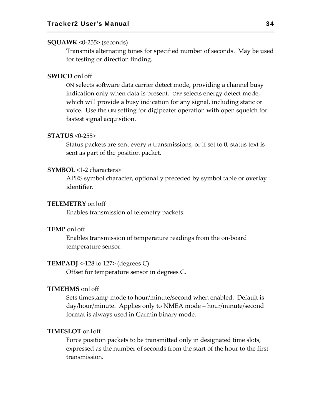#### **SQUAWK** <0‐255> (seconds)

Transmits alternating tones for specified number of seconds. May be used for testing or direction finding.

#### **SWDCD** on|off

ON selects software data carrier detect mode, providing a channel busy indication only when data is present. OFF selects energy detect mode, which will provide a busy indication for any signal, including static or voice. Use the ON setting for digipeater operation with open squelch for fastest signal acquisition.

#### **STATUS** <0‐255>

Status packets are sent every *n* transmissions, or if set to 0, status text is sent as part of the position packet.

#### **SYMBOL** <1‐2 characters>

APRS symbol character, optionally preceded by symbol table or overlay identifier.

#### **TELEMETRY** on|off

Enables transmission of telemetry packets.

#### **TEMP** on|off

Enables transmission of temperature readings from the on‐board temperature sensor.

#### **TEMPADJ** <-128 to 127> (degrees C)

Offset for temperature sensor in degrees C.

#### **TIMEHMS** on|off

Sets timestamp mode to hour/minute/second when enabled. Default is day/hour/minute. Applies only to NMEA mode – hour/minute/second format is always used in Garmin binary mode.

#### **TIMESLOT** on|off

Force position packets to be transmitted only in designated time slots, expressed as the number of seconds from the start of the hour to the first transmission.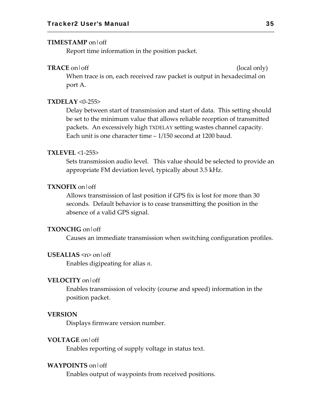#### **TIMESTAMP** on|off

Report time information in the position packet.

#### **TRACE** on  $\text{off}$  (local only)

When trace is on, each received raw packet is output in hexadecimal on port A.

## **TXDELAY** <0‐255>

Delay between start of transmission and start of data. This setting should be set to the minimum value that allows reliable reception of transmitted packets. An excessively high TXDELAY setting wastes channel capacity. Each unit is one character time – 1/150 second at 1200 baud.

#### **TXLEVEL** <1‐255>

Sets transmission audio level. This value should be selected to provide an appropriate FM deviation level, typically about 3.5 kHz.

#### **TXNOFIX** on|off

Allows transmission of last position if GPS fix is lost for more than 30 seconds. Default behavior is to cease transmitting the position in the absence of a valid GPS signal.

#### **TXONCHG** on|off

Causes an immediate transmission when switching configuration profiles.

#### **USEALIAS** <n> on|off

Enables digipeating for alias *n*.

#### **VELOCITY** on|off

Enables transmission of velocity (course and speed) information in the position packet.

#### **VERSION**

Displays firmware version number.

#### **VOLTAGE** on|off

Enables reporting of supply voltage in status text.

#### **WAYPOINTS** on|off

Enables output of waypoints from received positions.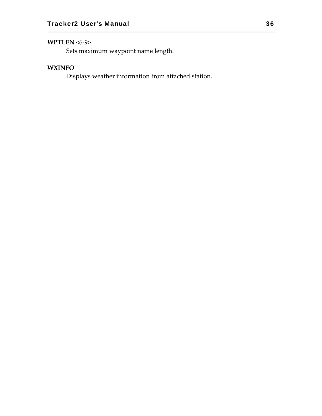## **WPTLEN** <6‐9>

Sets maximum waypoint name length.

## **WXINFO**

Displays weather information from attached station.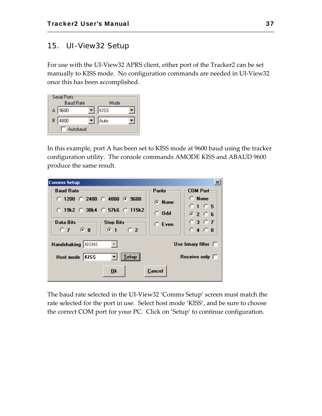## 15. UI-View32 Setup

For use with the UI‐View32 APRS client, either port of the Tracker2 can be set manually to KISS mode. No configuration commands are needed in UI‐View32 once this has been accomplished.

|   | Serial Ports<br><b>Baud Rate</b> | Mode |  |
|---|----------------------------------|------|--|
|   | A 3600                           | KISS |  |
| B | 4800                             | Auto |  |
|   | Autobaud                         |      |  |

In this example, port A has been set to KISS mode at 9600 baud using the tracker configuration utility. The console commands AMODE KISS and ABAUD 9600 produce the same result.

| Comms Setup                                          |                |                          |
|------------------------------------------------------|----------------|--------------------------|
| <b>Baud Rate</b>                                     | Parity -       | <b>COM Port</b>          |
| $\circ$ 1200 $\circ$ 2400 $\circ$ 4800 $\circ$ 9600  | G None         | $\Box$ None              |
| $\circ$ 19k2 $\circ$ 38k4 $\circ$ 57k6 $\circ$ 115k2 |                | 0105                     |
|                                                      | $\bigcirc$ Odd | G2G5                     |
| Data Bits<br><b>Stop Bits</b>                        | $C$ Even       | 0307                     |
| C <sub>2</sub><br>$0.7$ $6.8$<br>@1                  |                | $0.4$ $0.8$              |
| Handshaking NONE                                     |                | Use binary filter $\Box$ |
| Setup<br> KISS<br>Host mode                          |                | Receive only $\Box$      |
| 0k                                                   | Cancel         |                          |

The baud rate selected in the UI‐View32 'Comms Setup' screen must match the rate selected for the port in use. Select host mode 'KISS', and be sure to choose the correct COM port for your PC. Click on 'Setup' to continue configuration.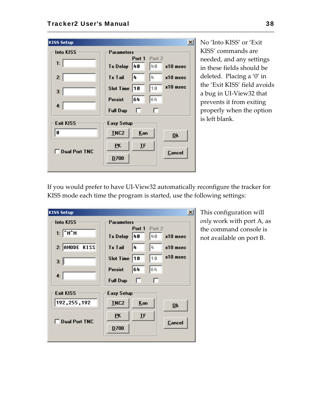| <b>KISS Setup</b> |                   |                               | $\vert x \vert$ |
|-------------------|-------------------|-------------------------------|-----------------|
| <b>Into KISS</b>  | <b>Parameters</b> |                               |                 |
| 1:                | <b>Tx Delay</b>   | Port 1<br>Port 2<br>40<br> 40 | x10 msec        |
| 2:                | <b>Tx Tail</b>    | 4<br>4                        | $x10$ msec      |
| 3:                | Slot Time $ 10$   | 10                            | x10 msec        |
| 4:                | Persist           | 64<br>64                      |                 |
|                   | <b>Full Dup</b>   | ш                             | ш               |
| <b>Exit KISS</b>  | <b>Easy Setup</b> |                               |                 |
| Ø                 | INC2              | Kan                           | 0 <sub>k</sub>  |
| □ Dual Port TNC   | PK                | <b>IF</b>                     |                 |
|                   | D700              |                               | <b>Cancel</b>   |
|                   |                   |                               |                 |

No 'Into KISS' or 'Exit KISS' commands are needed, and any settings in these fields should be deleted. Placing a '0' in the 'Exit KISS' field avoids a bug in UI‐View32 that prevents it from exiting properly when the option is left blank.

If you would prefer to have UI‐View32 automatically reconfigure the tracker for KISS mode each time the program is started, use the following settings:

| <b>KISS Setup</b>                               |                                  | $\boldsymbol{\mathsf{x}}$   |
|-------------------------------------------------|----------------------------------|-----------------------------|
| <b>Into KISS</b>                                | <b>Parameters</b>                |                             |
| $1:$ $\sqrt{\phantom{a}}$ M $\hat{}$ M $\hat{}$ | Port 1<br><b>Tx Delay</b><br> 40 | Port 2<br>140<br>$x10$ msec |
| 2: AMODE KISS                                   | <b>Tx Tail</b><br>14             | 4<br>$x10$ msec             |
| 3:                                              | <b>Slot Time</b><br> 10          | x10 msec<br>10              |
| 4:                                              | 64<br><b>Persist</b>             | 64                          |
|                                                 | <b>Full Dup</b><br>ш             | ш                           |
| <b>Exit KISS</b>                                | <b>Easy Setup</b>                |                             |
| 192, 255, 192                                   | <b>INC2</b>                      | Kan<br>0 <sup>k</sup>       |
| Dual Port TNC                                   | EK                               | IF                          |
|                                                 | D700                             | Cancel                      |
|                                                 |                                  |                             |

This configuration will *only* work with port A, as the command console is not available on port B.